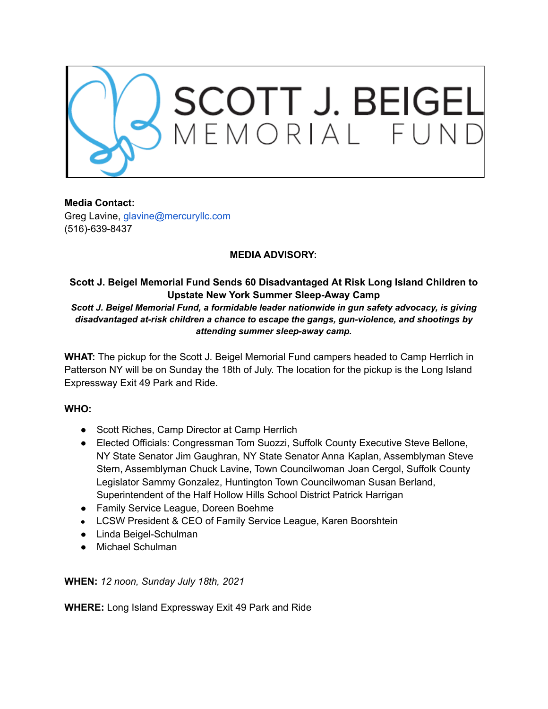

**Media Contact:** Greg Lavine, glavine@mercuryllc.com (516)-639-8437

## **MEDIA ADVISORY:**

## **Scott J. Beigel Memorial Fund Sends 60 Disadvantaged At Risk Long Island Children to Upstate New York Summer Sleep-Away Camp**

*Scott J. Beigel Memorial Fund, a formidable leader nationwide in gun safety advocacy, is giving disadvantaged at-risk children a chance to escape the gangs, gun-violence, and shootings by attending summer sleep-away camp.*

**WHAT:** The pickup for the Scott J. Beigel Memorial Fund campers headed to Camp Herrlich in Patterson NY will be on Sunday the 18th of July. The location for the pickup is the Long Island Expressway Exit 49 Park and Ride.

## **WHO:**

- Scott Riches, Camp Director at Camp Herrlich
- Elected Officials: Congressman Tom Suozzi, Suffolk County Executive Steve Bellone, NY State Senator Jim Gaughran, NY State Senator Anna Kaplan, Assemblyman Steve Stern, Assemblyman Chuck Lavine, Town Councilwoman Joan Cergol, Suffolk County Legislator Sammy Gonzalez, Huntington Town Councilwoman Susan Berland, Superintendent of the Half Hollow Hills School District Patrick Harrigan
- Family Service League, Doreen Boehme
- LCSW President & CEO of Family Service League, Karen Boorshtein
- Linda Beigel-Schulman
- Michael Schulman

**WHEN:** *12 noon, Sunday July 18th, 2021*

**WHERE:** Long Island Expressway Exit 49 Park and Ride